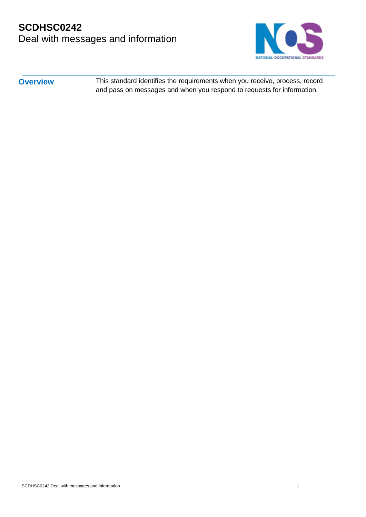## **SCDHSC0242**  Deal with messages and information



**Overview** This standard identifies the requirements when you receive, process, record and pass on messages and when you respond to requests for information.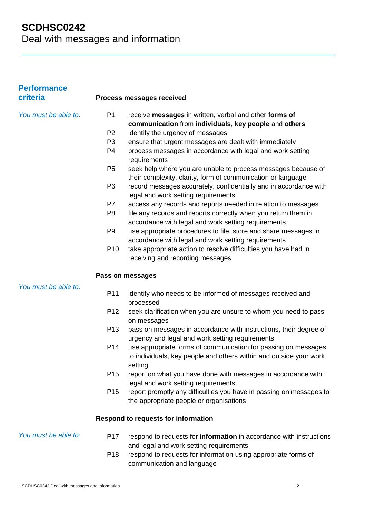| <b>Performance</b><br>criteria |                 | Process messages received                                                                                                                       |
|--------------------------------|-----------------|-------------------------------------------------------------------------------------------------------------------------------------------------|
| You must be able to:           | P <sub>1</sub>  | receive messages in written, verbal and other forms of<br>communication from individuals, key people and others                                 |
|                                | P <sub>2</sub>  | identify the urgency of messages                                                                                                                |
|                                | P <sub>3</sub>  | ensure that urgent messages are dealt with immediately                                                                                          |
|                                | P <sub>4</sub>  | process messages in accordance with legal and work setting<br>requirements                                                                      |
|                                | P <sub>5</sub>  | seek help where you are unable to process messages because of<br>their complexity, clarity, form of communication or language                   |
|                                | P <sub>6</sub>  | record messages accurately, confidentially and in accordance with<br>legal and work setting requirements                                        |
|                                | P7              | access any records and reports needed in relation to messages                                                                                   |
|                                | P <sub>8</sub>  | file any records and reports correctly when you return them in<br>accordance with legal and work setting requirements                           |
|                                | P <sub>9</sub>  | use appropriate procedures to file, store and share messages in<br>accordance with legal and work setting requirements                          |
|                                | P <sub>10</sub> | take appropriate action to resolve difficulties you have had in<br>receiving and recording messages                                             |
|                                |                 | Pass on messages                                                                                                                                |
| You must be able to:           | P11             | identify who needs to be informed of messages received and<br>processed                                                                         |
|                                | P <sub>12</sub> | seek clarification when you are unsure to whom you need to pass<br>on messages                                                                  |
|                                | P <sub>13</sub> | pass on messages in accordance with instructions, their degree of<br>urgency and legal and work setting requirements                            |
|                                | P <sub>14</sub> | use appropriate forms of communication for passing on messages<br>to individuals, key people and others within and outside your work<br>setting |
|                                | P <sub>15</sub> | report on what you have done with messages in accordance with<br>legal and work setting requirements                                            |
|                                | P <sub>16</sub> | report promptly any difficulties you have in passing on messages to<br>the appropriate people or organisations                                  |
|                                |                 | Respond to requests for information                                                                                                             |
| You must be able to:           | P <sub>17</sub> | respond to requests for information in accordance with instructions<br>and legal and work setting requirements                                  |
|                                | P <sub>18</sub> | respond to requests for information using appropriate forms of<br>communication and language                                                    |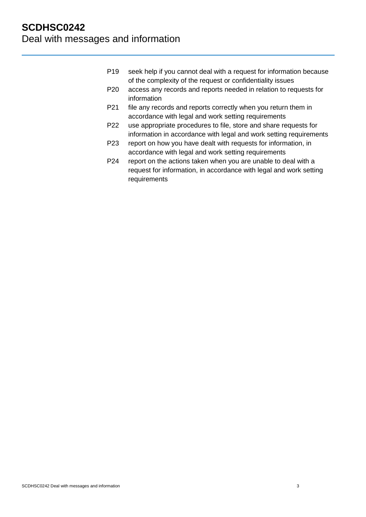- P19 seek help if you cannot deal with a request for information because of the complexity of the request or confidentiality issues
- P20 access any records and reports needed in relation to requests for information
- P21 file any records and reports correctly when you return them in accordance with legal and work setting requirements
- P22 use appropriate procedures to file, store and share requests for information in accordance with legal and work setting requirements
- P23 report on how you have dealt with requests for information, in accordance with legal and work setting requirements
- P24 report on the actions taken when you are unable to deal with a request for information, in accordance with legal and work setting requirements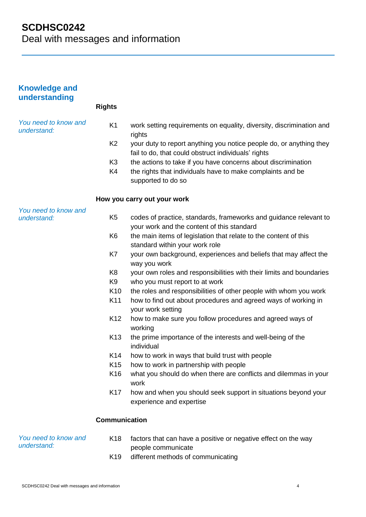| <b>Knowledge and</b><br>understanding |                      |                                                                                                                            |
|---------------------------------------|----------------------|----------------------------------------------------------------------------------------------------------------------------|
|                                       | <b>Rights</b>        |                                                                                                                            |
| You need to know and<br>understand:   | K <sub>1</sub>       | work setting requirements on equality, diversity, discrimination and<br>rights                                             |
|                                       | K <sub>2</sub>       | your duty to report anything you notice people do, or anything they<br>fail to do, that could obstruct individuals' rights |
|                                       | K <sub>3</sub>       | the actions to take if you have concerns about discrimination                                                              |
|                                       | K4                   | the rights that individuals have to make complaints and be<br>supported to do so                                           |
|                                       |                      | How you carry out your work                                                                                                |
| You need to know and<br>understand:   | K <sub>5</sub>       | codes of practice, standards, frameworks and guidance relevant to                                                          |
|                                       |                      | your work and the content of this standard                                                                                 |
|                                       | K <sub>6</sub>       | the main items of legislation that relate to the content of this<br>standard within your work role                         |
|                                       | K7                   | your own background, experiences and beliefs that may affect the<br>way you work                                           |
|                                       | K <sub>8</sub>       | your own roles and responsibilities with their limits and boundaries                                                       |
|                                       | K9                   | who you must report to at work                                                                                             |
|                                       | K <sub>10</sub>      | the roles and responsibilities of other people with whom you work                                                          |
|                                       | K11                  | how to find out about procedures and agreed ways of working in<br>your work setting                                        |
|                                       | K <sub>12</sub>      | how to make sure you follow procedures and agreed ways of<br>working                                                       |
|                                       | K <sub>13</sub>      | the prime importance of the interests and well-being of the<br>individual                                                  |
|                                       | K14                  | how to work in ways that build trust with people                                                                           |
|                                       | K <sub>15</sub>      | how to work in partnership with people                                                                                     |
|                                       | K16                  | what you should do when there are conflicts and dilemmas in your<br>work                                                   |
|                                       | K <sub>17</sub>      | how and when you should seek support in situations beyond your<br>experience and expertise                                 |
|                                       |                      |                                                                                                                            |
|                                       | <b>Communication</b> |                                                                                                                            |
| You need to know and<br>understand:   | K <sub>18</sub>      | factors that can have a positive or negative effect on the way<br>people communicate                                       |
|                                       | K <sub>19</sub>      | different methods of communicating                                                                                         |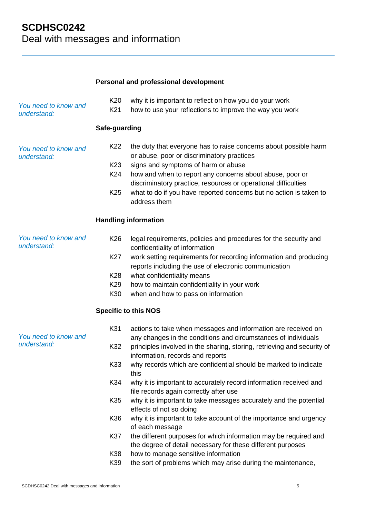#### **Personal and professional development**

| You need to know and<br>understand: | K <sub>20</sub><br>K <sub>21</sub> | why it is important to reflect on how you do your work<br>how to use your reflections to improve the way you work               |
|-------------------------------------|------------------------------------|---------------------------------------------------------------------------------------------------------------------------------|
|                                     | Safe-guarding                      |                                                                                                                                 |
| You need to know and<br>understand: | K <sub>22</sub>                    | the duty that everyone has to raise concerns about possible harm<br>or abuse, poor or discriminatory practices                  |
|                                     | K <sub>23</sub>                    | signs and symptoms of harm or abuse                                                                                             |
|                                     | K24                                | how and when to report any concerns about abuse, poor or<br>discriminatory practice, resources or operational difficulties      |
|                                     | K <sub>25</sub>                    | what to do if you have reported concerns but no action is taken to<br>address them                                              |
|                                     |                                    | <b>Handling information</b>                                                                                                     |
| You need to know and<br>understand: | K <sub>26</sub>                    | legal requirements, policies and procedures for the security and<br>confidentiality of information                              |
|                                     | <b>K27</b>                         | work setting requirements for recording information and producing<br>reports including the use of electronic communication      |
|                                     | <b>K28</b>                         | what confidentiality means                                                                                                      |
|                                     | K <sub>29</sub>                    | how to maintain confidentiality in your work                                                                                    |
|                                     | K30                                | when and how to pass on information                                                                                             |
|                                     |                                    | <b>Specific to this NOS</b>                                                                                                     |
| You need to know and<br>understand: | K31                                | actions to take when messages and information are received on<br>any changes in the conditions and circumstances of individuals |
|                                     | K32                                | principles involved in the sharing, storing, retrieving and security of<br>information, records and reports                     |
|                                     | K33                                | why records which are confidential should be marked to indicate<br>this                                                         |
|                                     | K34                                | why it is important to accurately record information received and<br>file records again correctly after use                     |
|                                     | K35                                | why it is important to take messages accurately and the potential<br>effects of not so doing                                    |
|                                     | K36                                | why it is important to take account of the importance and urgency<br>of each message                                            |
|                                     | K37                                | the different purposes for which information may be required and<br>the degree of detail necessary for these different purposes |
|                                     | K38                                | how to manage sensitive information                                                                                             |
|                                     | K39                                | the sort of problems which may arise during the maintenance,                                                                    |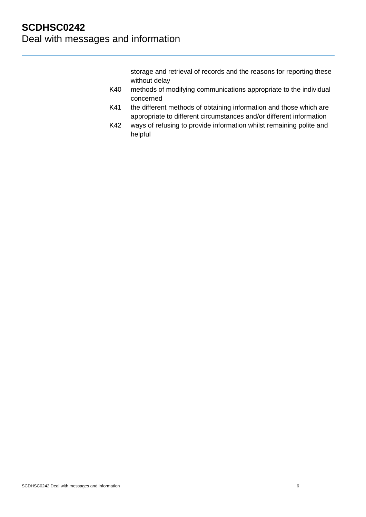storage and retrieval of records and the reasons for reporting these without delay

- K40 methods of modifying communications appropriate to the individual concerned
- K41 the different methods of obtaining information and those which are appropriate to different circumstances and/or different information
- K42 ways of refusing to provide information whilst remaining polite and helpful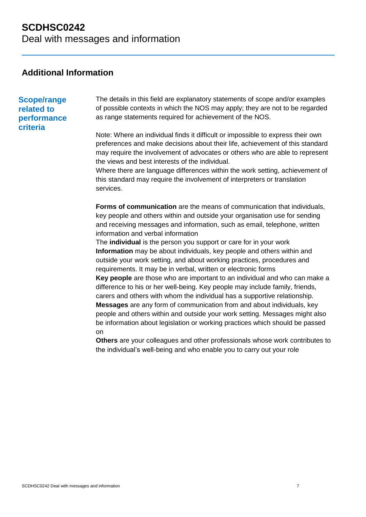### **SCDHSC0242**  Deal with messages and information

### **Additional Information**

#### **Scope/range related to performance criteria**

The details in this field are explanatory statements of scope and/or examples of possible contexts in which the NOS may apply; they are not to be regarded as range statements required for achievement of the NOS.

Note: Where an individual finds it difficult or impossible to express their own preferences and make decisions about their life, achievement of this standard may require the involvement of advocates or others who are able to represent the views and best interests of the individual.

Where there are language differences within the work setting, achievement of this standard may require the involvement of interpreters or translation services.

**Forms of communication** are the means of communication that individuals, key people and others within and outside your organisation use for sending and receiving messages and information, such as email, telephone, written information and verbal information

The **individual** is the person you support or care for in your work **Information** may be about individuals, key people and others within and outside your work setting, and about working practices, procedures and requirements. It may be in verbal, written or electronic forms **Key people** are those who are important to an individual and who can make a difference to his or her well-being. Key people may include family, friends, carers and others with whom the individual has a supportive relationship. **Messages** are any form of communication from and about individuals, key people and others within and outside your work setting. Messages might also be information about legislation or working practices which should be passed

on

**Others** are your colleagues and other professionals whose work contributes to the individual's well-being and who enable you to carry out your role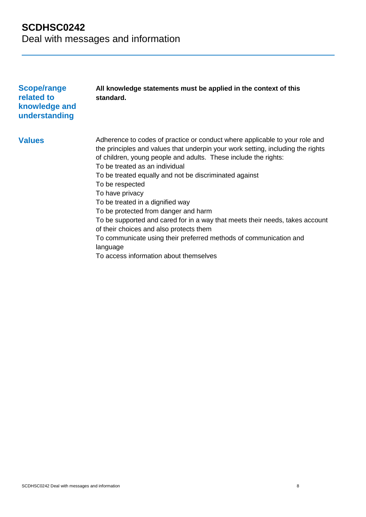| Scope/range<br>related to<br>knowledge and<br>understanding | All knowledge statements must be applied in the context of this<br>standard.                                                                                                                                                                                                                                                                                                                                                                                                                                                                                                                                                                                                                          |
|-------------------------------------------------------------|-------------------------------------------------------------------------------------------------------------------------------------------------------------------------------------------------------------------------------------------------------------------------------------------------------------------------------------------------------------------------------------------------------------------------------------------------------------------------------------------------------------------------------------------------------------------------------------------------------------------------------------------------------------------------------------------------------|
| <b>Values</b>                                               | Adherence to codes of practice or conduct where applicable to your role and<br>the principles and values that underpin your work setting, including the rights<br>of children, young people and adults. These include the rights:<br>To be treated as an individual<br>To be treated equally and not be discriminated against<br>To be respected<br>To have privacy<br>To be treated in a dignified way<br>To be protected from danger and harm<br>To be supported and cared for in a way that meets their needs, takes account<br>of their choices and also protects them<br>To communicate using their preferred methods of communication and<br>language<br>To access information about themselves |